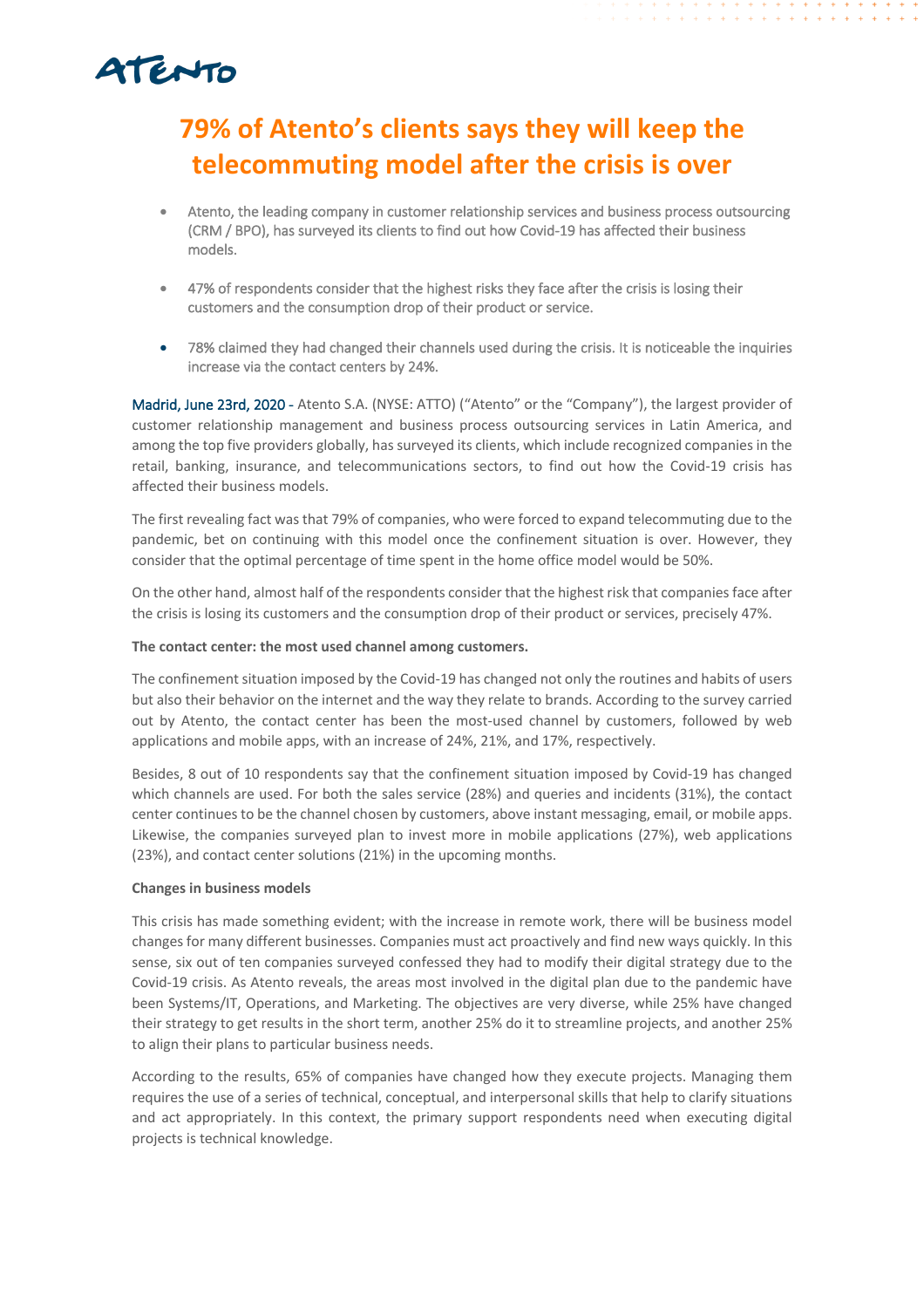# ATENTO

### **79% of Atento's clients says they will keep the telecommuting model after the crisis is over**

- Atento, the leading company in customer relationship services and business process outsourcing (CRM / BPO), has surveyed its clients to find out how Covid-19 has affected their business models.
- 47% of respondents consider that the highest risks they face after the crisis is losing their customers and the consumption drop of their product or service.
- 78% claimed they had changed their channels used during the crisis. It is noticeable the inquiries increase via the contact centers by 24%.

Madrid, June 23rd, 2020 - Atento S.A. (NYSE: ATTO) ("Atento" or the "Company"), the largest provider of customer relationship management and business process outsourcing services in Latin America, and among the top five providers globally, has surveyed its clients, which include recognized companies in the retail, banking, insurance, and telecommunications sectors, to find out how the Covid-19 crisis has affected their business models.

The first revealing fact was that 79% of companies, who were forced to expand telecommuting due to the pandemic, bet on continuing with this model once the confinement situation is over. However, they consider that the optimal percentage of time spent in the home office model would be 50%.

On the other hand, almost half of the respondents consider that the highest risk that companies face after the crisis is losing its customers and the consumption drop of their product or services, precisely 47%.

### **The contact center: the most used channel among customers.**

The confinement situation imposed by the Covid-19 has changed not only the routines and habits of users but also their behavior on the internet and the way they relate to brands. According to the survey carried out by Atento, the contact center has been the most-used channel by customers, followed by web applications and mobile apps, with an increase of 24%, 21%, and 17%, respectively.

Besides, 8 out of 10 respondents say that the confinement situation imposed by Covid-19 has changed which channels are used. For both the sales service (28%) and queries and incidents (31%), the contact center continues to be the channel chosen by customers, above instant messaging, email, or mobile apps. Likewise, the companies surveyed plan to invest more in mobile applications (27%), web applications (23%), and contact center solutions (21%) in the upcoming months.

### **Changes in business models**

This crisis has made something evident; with the increase in remote work, there will be business model changes for many different businesses. Companies must act proactively and find new ways quickly. In this sense, six out of ten companies surveyed confessed they had to modify their digital strategy due to the Covid-19 crisis. As Atento reveals, the areas most involved in the digital plan due to the pandemic have been Systems/IT, Operations, and Marketing. The objectives are very diverse, while 25% have changed their strategy to get results in the short term, another 25% do it to streamline projects, and another 25% to align their plans to particular business needs.

According to the results, 65% of companies have changed how they execute projects. Managing them requires the use of a series of technical, conceptual, and interpersonal skills that help to clarify situations and act appropriately. In this context, the primary support respondents need when executing digital projects is technical knowledge.